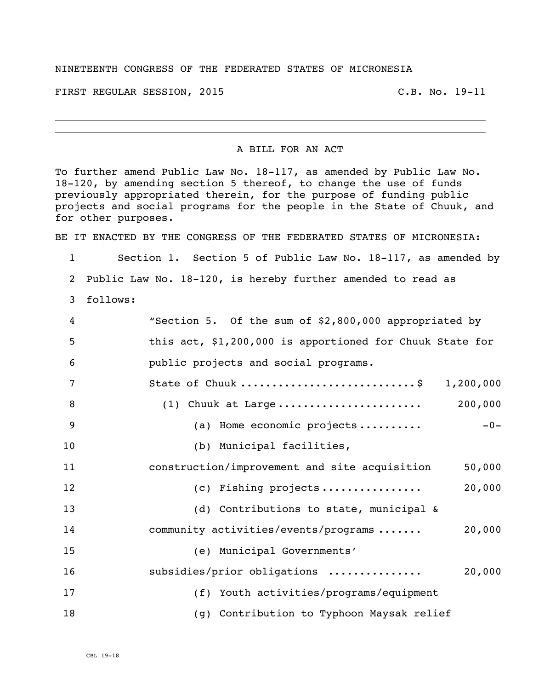## NINETEENTH CONGRESS OF THE FEDERATED STATES OF MICRONESIA

FIRST REGULAR SESSION, 2015 TIRST REGULAR SESSION, 2015

## A BILL FOR AN ACT

To further amend Public Law No. 18-117, as amended by Public Law No. 18-120, by amending section 5 thereof, to change the use of funds previously appropriated therein, for the purpose of funding public projects and social programs for the people in the State of Chuuk, and for other purposes.

BE IT ENACTED BY THE CONGRESS OF THE FEDERATED STATES OF MICRONESIA:

 Section 1. Section 5 of Public Law No. 18-117, as amended by Public Law No. 18-120, is hereby further amended to read as 3 follows: "Section 5. Of the sum of \$2,800,000 appropriated by this act, \$1,200,000 is apportioned for Chuuk State for public projects and social programs. 7 State of Chuuk .................................\$ 1,200,000 (1) Chuuk at Large ....................... 200,000 9 (a) Home economic projects .......... -0-10 (b) Municipal facilities, construction/improvement and site acquisition 50,000 (c) Fishing projects ................ 20,000 13 (d) Contributions to state, municipal & community activities/events/programs ....... 20,000 (e) Municipal Governments' subsidies/prior obligations ............... 20,000

17 (f) Youth activities/programs/equipment

18 (g) Contribution to Typhoon Maysak relief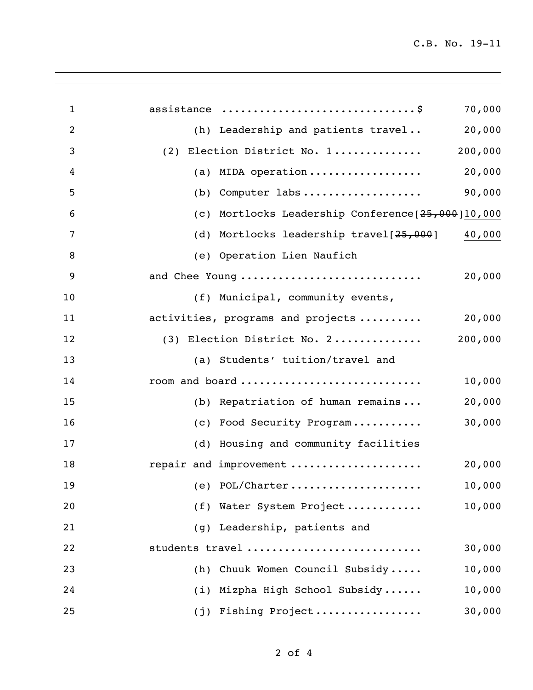| 70,000                                                |  |
|-------------------------------------------------------|--|
| 20,000<br>(h) Leadership and patients travel          |  |
| 200,000<br>Election District No. 1<br>(2)             |  |
| 20,000<br>MIDA operation<br>(a)                       |  |
| 90,000<br>Computer labs<br>(b)                        |  |
| Mortlocks Leadership Conference [25,000]10,000<br>(c) |  |
| Mortlocks leadership travel[25,000]<br>40,000<br>(d)  |  |
| (e) Operation Lien Naufich                            |  |
| and Chee Young<br>20,000                              |  |
| (f) Municipal, community events,                      |  |
| 20,000<br>activities, programs and projects           |  |
| 200,000<br>(3) Election District No. 2                |  |
| (a) Students' tuition/travel and                      |  |
| room and board<br>10,000                              |  |
| 20,000<br>(b) Repatriation of human remains           |  |
| 30,000<br>Food Security Program<br>$\left( c\right)$  |  |
| (d) Housing and community facilities                  |  |
| repair and improvement<br>20,000                      |  |
| 10,000<br>(e) POL/Charter                             |  |
| (f) Water System Project<br>10,000                    |  |
| (g) Leadership, patients and                          |  |
| students travel<br>30,000                             |  |
| (h) Chuuk Women Council Subsidy<br>10,000             |  |
| (i) Mizpha High School Subsidy<br>10,000              |  |
| (j) Fishing Project<br>30,000                         |  |
|                                                       |  |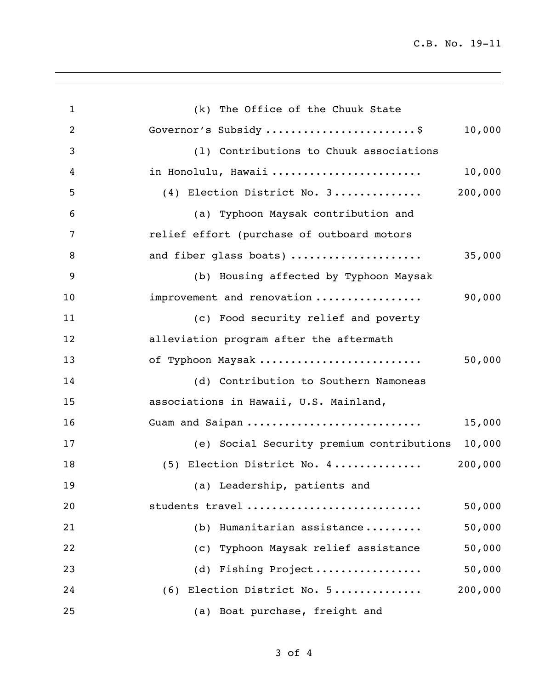C.B. No. 19-11

| $\mathbf{1}$   | (k) The Office of the Chuuk State          |         |
|----------------|--------------------------------------------|---------|
| $\overline{2}$ | Governor's Subsidy \$                      | 10,000  |
| 3              | (1) Contributions to Chuuk associations    |         |
| 4              | in Honolulu, Hawaii                        | 10,000  |
| 5              | (4) Election District No. 3                | 200,000 |
| 6              | (a) Typhoon Maysak contribution and        |         |
| 7              | relief effort (purchase of outboard motors |         |
| 8              | and fiber glass boats)                     | 35,000  |
| 9              | (b) Housing affected by Typhoon Maysak     |         |
| 10             | improvement and renovation                 | 90,000  |
| 11             | (c) Food security relief and poverty       |         |
| 12             | alleviation program after the aftermath    |         |
| 13             | of Typhoon Maysak                          | 50,000  |
| 14             | (d) Contribution to Southern Namoneas      |         |
| 15             | associations in Hawaii, U.S. Mainland,     |         |
| 16             | Guam and Saipan                            | 15,000  |
| 17             | (e) Social Security premium contributions  | 10,000  |
| 18             | (5) Election District No. 4                | 200,000 |
| 19             | (a) Leadership, patients and               |         |
| 20             | students travel                            | 50,000  |
| 21             | Humanitarian assistance<br>(b)             | 50,000  |
| 22             | (c) Typhoon Maysak relief assistance       | 50,000  |
| 23             | (d) Fishing Project                        | 50,000  |
| 24             | (6) Election District No. 5                | 200,000 |
| 25             | (a) Boat purchase, freight and             |         |